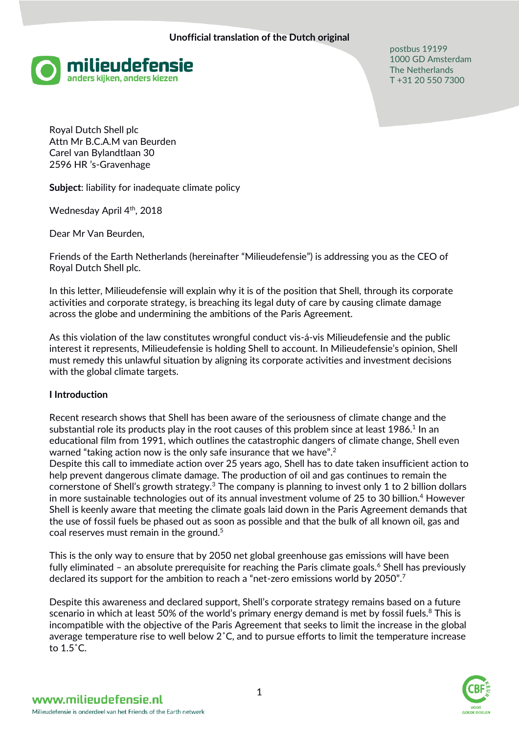

postbus 19199 1000 GD Amsterdam The Netherlands T +31 20 550 7300

Royal Dutch Shell plc Attn Mr B.C.A.M van Beurden Carel van Bylandtlaan 30 2596 HR 's-Gravenhage

**Subject**: liability for inadequate climate policy

Wednesday April 4<sup>th</sup>, 2018

Dear Mr Van Beurden,

Friends of the Earth Netherlands (hereinafter "Milieudefensie") is addressing you as the CEO of Royal Dutch Shell plc.

In this letter, Milieudefensie will explain why it is of the position that Shell, through its corporate activities and corporate strategy, is breaching its legal duty of care by causing climate damage across the globe and undermining the ambitions of the Paris Agreement.

As this violation of the law constitutes wrongful conduct vis-á-vis Milieudefensie and the public interest it represents, Milieudefensie is holding Shell to account. In Milieudefensie's opinion, Shell must remedy this unlawful situation by aligning its corporate activities and investment decisions with the global climate targets.

### **I Introduction**

Recent research shows that Shell has been aware of the seriousness of climate change and the substantial role its products play in the root causes of this problem since at least  $1986.<sup>1</sup>$  In an educational film from 1991, which outlines the catastrophic dangers of climate change, Shell even warned "taking action now is the only safe insurance that we have".<sup>2</sup>

Despite this call to immediate action over 25 years ago, Shell has to date taken insufficient action to help prevent dangerous climate damage. The production of oil and gas continues to remain the cornerstone of Shell's growth strategy.<sup>3</sup> The company is planning to invest only 1 to 2 billion dollars in more sustainable technologies out of its annual investment volume of 25 to 30 billion. <sup>4</sup> However Shell is keenly aware that meeting the climate goals laid down in the Paris Agreement demands that the use of fossil fuels be phased out as soon as possible and that the bulk of all known oil, gas and coal reserves must remain in the ground.<sup>5</sup>

This is the only way to ensure that by 2050 net global greenhouse gas emissions will have been fully eliminated – an absolute prerequisite for reaching the Paris climate goals. $6$  Shell has previously declared its support for the ambition to reach a "net-zero emissions world by 2050".<sup>7</sup>

Despite this awareness and declared support, Shell's corporate strategy remains based on a future scenario in which at least 50% of the world's primary energy demand is met by fossil fuels.<sup>8</sup> This is incompatible with the objective of the Paris Agreement that seeks to limit the increase in the global average temperature rise to well below 2˚C, and to pursue efforts to limit the temperature increase to 1.5˚C.

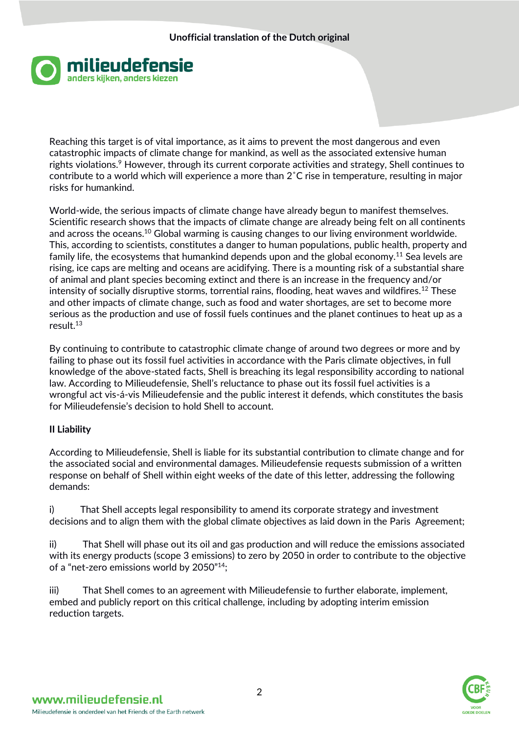

Reaching this target is of vital importance, as it aims to prevent the most dangerous and even catastrophic impacts of climate change for mankind, as well as the associated extensive human rights violations.<sup>9</sup> However, through its current corporate activities and strategy, Shell continues to contribute to a world which will experience a more than 2˚C rise in temperature, resulting in major risks for humankind.

World-wide, the serious impacts of climate change have already begun to manifest themselves. Scientific research shows that the impacts of climate change are already being felt on all continents and across the oceans.<sup>10</sup> Global warming is causing changes to our living environment worldwide. This, according to scientists, constitutes a danger to human populations, public health, property and family life, the ecosystems that humankind depends upon and the global economy.<sup>11</sup> Sea levels are rising, ice caps are melting and oceans are acidifying. There is a mounting risk of a substantial share of animal and plant species becoming extinct and there is an increase in the frequency and/or intensity of socially disruptive storms, torrential rains, flooding, heat waves and wildfires.<sup>12</sup> These and other impacts of climate change, such as food and water shortages, are set to become more serious as the production and use of fossil fuels continues and the planet continues to heat up as a result.<sup>13</sup>

By continuing to contribute to catastrophic climate change of around two degrees or more and by failing to phase out its fossil fuel activities in accordance with the Paris climate objectives, in full knowledge of the above-stated facts, Shell is breaching its legal responsibility according to national law. According to Milieudefensie, Shell's reluctance to phase out its fossil fuel activities is a wrongful act vis-á-vis Milieudefensie and the public interest it defends, which constitutes the basis for Milieudefensie's decision to hold Shell to account.

# **II Liability**

According to Milieudefensie, Shell is liable for its substantial contribution to climate change and for the associated social and environmental damages. Milieudefensie requests submission of a written response on behalf of Shell within eight weeks of the date of this letter, addressing the following demands:

i) That Shell accepts legal responsibility to amend its corporate strategy and investment decisions and to align them with the global climate objectives as laid down in the Paris Agreement;

ii) That Shell will phase out its oil and gas production and will reduce the emissions associated with its energy products (scope 3 emissions) to zero by 2050 in order to contribute to the objective of a "net-zero emissions world by 2050"<sup>14</sup>;

iii) That Shell comes to an agreement with Milieudefensie to further elaborate, implement, embed and publicly report on this critical challenge, including by adopting interim emission reduction targets.

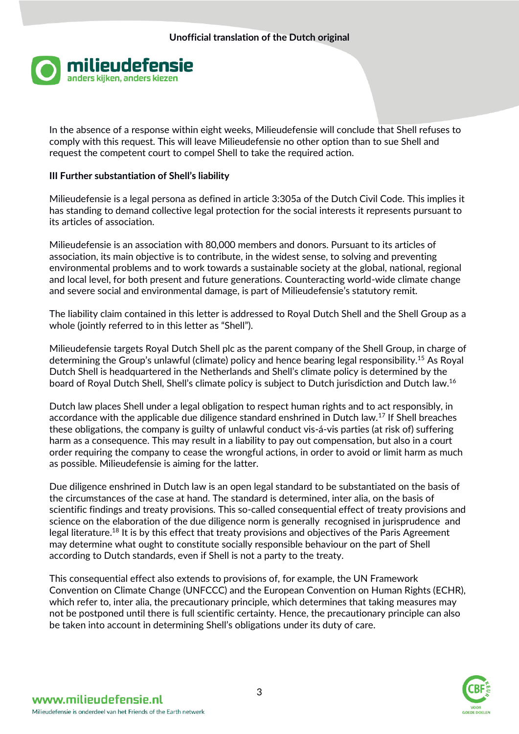

In the absence of a response within eight weeks, Milieudefensie will conclude that Shell refuses to comply with this request. This will leave Milieudefensie no other option than to sue Shell and request the competent court to compel Shell to take the required action.

### **III Further substantiation of Shell's liability**

Milieudefensie is a legal persona as defined in article 3:305a of the Dutch Civil Code. This implies it has standing to demand collective legal protection for the social interests it represents pursuant to its articles of association.

Milieudefensie is an association with 80,000 members and donors. Pursuant to its articles of association, its main objective is to contribute, in the widest sense, to solving and preventing environmental problems and to work towards a sustainable society at the global, national, regional and local level, for both present and future generations. Counteracting world-wide climate change and severe social and environmental damage, is part of Milieudefensie's statutory remit.

The liability claim contained in this letter is addressed to Royal Dutch Shell and the Shell Group as a whole (jointly referred to in this letter as "Shell").

Milieudefensie targets Royal Dutch Shell plc as the parent company of the Shell Group, in charge of determining the Group's unlawful (climate) policy and hence bearing legal responsibility.<sup>15</sup> As Royal Dutch Shell is headquartered in the Netherlands and Shell's climate policy is determined by the board of Royal Dutch Shell, Shell's climate policy is subject to Dutch jurisdiction and Dutch law.<sup>16</sup>

Dutch law places Shell under a legal obligation to respect human rights and to act responsibly, in accordance with the applicable due diligence standard enshrined in Dutch law.<sup>17</sup> If Shell breaches these obligations, the company is guilty of unlawful conduct vis-á-vis parties (at risk of) suffering harm as a consequence. This may result in a liability to pay out compensation, but also in a court order requiring the company to cease the wrongful actions, in order to avoid or limit harm as much as possible. Milieudefensie is aiming for the latter.

Due diligence enshrined in Dutch law is an open legal standard to be substantiated on the basis of the circumstances of the case at hand. The standard is determined, inter alia, on the basis of scientific findings and treaty provisions. This so-called consequential effect of treaty provisions and science on the elaboration of the due diligence norm is generally recognised in jurisprudence and legal literature.<sup>18</sup> It is by this effect that treaty provisions and objectives of the Paris Agreement may determine what ought to constitute socially responsible behaviour on the part of Shell according to Dutch standards, even if Shell is not a party to the treaty.

This consequential effect also extends to provisions of, for example, the UN Framework Convention on Climate Change (UNFCCC) and the European Convention on Human Rights (ECHR), which refer to, inter alia, the precautionary principle, which determines that taking measures may not be postponed until there is full scientific certainty. Hence, the precautionary principle can also be taken into account in determining Shell's obligations under its duty of care.

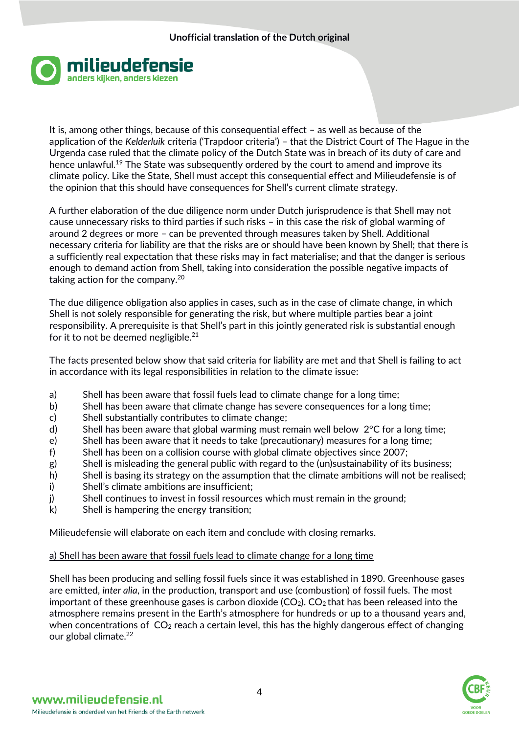

It is, among other things, because of this consequential effect – as well as because of the application of the *Kelderluik* criteria ('Trapdoor criteria') – that the District Court of The Hague in the Urgenda case ruled that the climate policy of the Dutch State was in breach of its duty of care and hence unlawful.<sup>19</sup> The State was subsequently ordered by the court to amend and improve its climate policy. Like the State, Shell must accept this consequential effect and Milieudefensie is of the opinion that this should have consequences for Shell's current climate strategy.

A further elaboration of the due diligence norm under Dutch jurisprudence is that Shell may not cause unnecessary risks to third parties if such risks – in this case the risk of global warming of around 2 degrees or more – can be prevented through measures taken by Shell. Additional necessary criteria for liability are that the risks are or should have been known by Shell; that there is a sufficiently real expectation that these risks may in fact materialise; and that the danger is serious enough to demand action from Shell, taking into consideration the possible negative impacts of taking action for the company.<sup>20</sup>

The due diligence obligation also applies in cases, such as in the case of climate change, in which Shell is not solely responsible for generating the risk, but where multiple parties bear a joint responsibility. A prerequisite is that Shell's part in this jointly generated risk is substantial enough for it to not be deemed negligible.<sup>21</sup>

The facts presented below show that said criteria for liability are met and that Shell is failing to act in accordance with its legal responsibilities in relation to the climate issue:

- a) Shell has been aware that fossil fuels lead to climate change for a long time;
- b) Shell has been aware that climate change has severe consequences for a long time;
- c) Shell substantially contributes to climate change;
- d) Shell has been aware that global warming must remain well below 2°C for a long time;
- e) Shell has been aware that it needs to take (precautionary) measures for a long time;
- f) Shell has been on a collision course with global climate objectives since 2007;
- g) Shell is misleading the general public with regard to the (un)sustainability of its business;
- h) Shell is basing its strategy on the assumption that the climate ambitions will not be realised;
- i) Shell's climate ambitions are insufficient;
- j) Shell continues to invest in fossil resources which must remain in the ground;
- k) Shell is hampering the energy transition;

Milieudefensie will elaborate on each item and conclude with closing remarks.

### a) Shell has been aware that fossil fuels lead to climate change for a long time

Shell has been producing and selling fossil fuels since it was established in 1890. Greenhouse gases are emitted, *inter alia*, in the production, transport and use (combustion) of fossil fuels. The most important of these greenhouse gases is carbon dioxide  $(CO_2)$ .  $CO_2$  that has been released into the atmosphere remains present in the Earth's atmosphere for hundreds or up to a thousand years and, when concentrations of  $CO<sub>2</sub>$  reach a certain level, this has the highly dangerous effect of changing our global climate.<sup>22</sup>

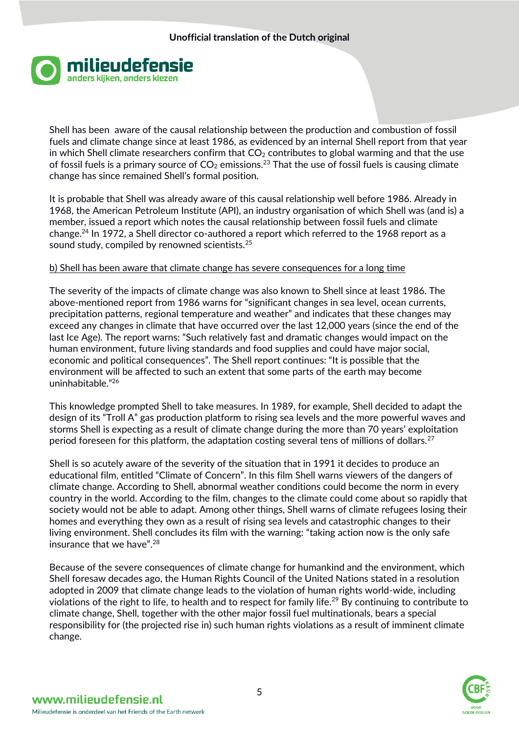

Shell has been aware of the causal relationship between the production and combustion of fossil fuels and climate change since at least 1986, as evidenced by an internal Shell report from that year in which Shell climate researchers confirm that  $CO<sub>2</sub>$  contributes to global warming and that the use of fossil fuels is a primary source of  $CO<sub>2</sub>$  emissions.<sup>23</sup> That the use of fossil fuels is causing climate change has since remained Shell's formal position.

It is probable that Shell was already aware of this causal relationship well before 1986. Already in 1968, the American Petroleum Institute (API), an industry organisation of which Shell was (and is) a member, issued a report which notes the causal relationship between fossil fuels and climate change.<sup>24</sup> In 1972, a Shell director co-authored a report which referred to the 1968 report as a sound study, compiled by renowned scientists.<sup>25</sup>

### b) Shell has been aware that climate change has severe consequences for a long time

The severity of the impacts of climate change was also known to Shell since at least 1986. The above-mentioned report from 1986 warns for "significant changes in sea level, ocean currents, precipitation patterns, regional temperature and weather" and indicates that these changes may exceed any changes in climate that have occurred over the last 12,000 years (since the end of the last Ice Age). The report warns: "Such relatively fast and dramatic changes would impact on the human environment, future living standards and food supplies and could have major social, economic and political consequences". The Shell report continues: "It is possible that the environment will be affected to such an extent that some parts of the earth may become uninhabitable."<sup>26</sup>

This knowledge prompted Shell to take measures. In 1989, for example, Shell decided to adapt the design of its "Troll A" gas production platform to rising sea levels and the more powerful waves and storms Shell is expecting as a result of climate change during the more than 70 years' exploitation period foreseen for this platform, the adaptation costing several tens of millions of dollars.<sup>27</sup>

Shell is so acutely aware of the severity of the situation that in 1991 it decides to produce an educational film, entitled "Climate of Concern". In this film Shell warns viewers of the dangers of climate change. According to Shell, abnormal weather conditions could become the norm in every country in the world. According to the film, changes to the climate could come about so rapidly that society would not be able to adapt. Among other things, Shell warns of climate refugees losing their homes and everything they own as a result of rising sea levels and catastrophic changes to their living environment. Shell concludes its film with the warning: "taking action now is the only safe insurance that we have".<sup>28</sup>

Because of the severe consequences of climate change for humankind and the environment, which Shell foresaw decades ago, the Human Rights Council of the United Nations stated in a resolution adopted in 2009 that climate change leads to the violation of human rights world-wide, including violations of the right to life, to health and to respect for family life.<sup>29</sup> By continuing to contribute to climate change, Shell, together with the other major fossil fuel multinationals, bears a special responsibility for (the projected rise in) such human rights violations as a result of imminent climate change.

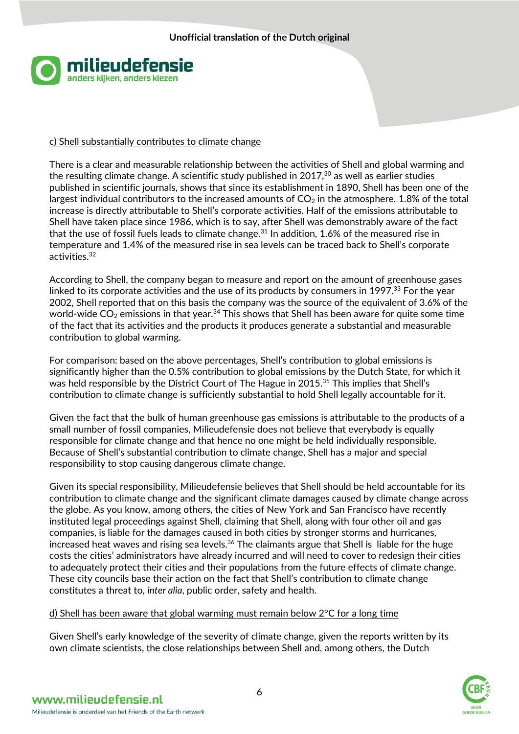

### c) Shell substantially contributes to climate change

There is a clear and measurable relationship between the activities of Shell and global warming and the resulting climate change. A scientific study published in  $2017$ ,<sup>30</sup> as well as earlier studies published in scientific journals, shows that since its establishment in 1890, Shell has been one of the largest individual contributors to the increased amounts of  $CO<sub>2</sub>$  in the atmosphere. 1.8% of the total increase is directly attributable to Shell's corporate activities. Half of the emissions attributable to Shell have taken place since 1986, which is to say, after Shell was demonstrably aware of the fact that the use of fossil fuels leads to climate change.<sup>31</sup> In addition, 1.6% of the measured rise in temperature and 1.4% of the measured rise in sea levels can be traced back to Shell's corporate activities.<sup>32</sup>

According to Shell, the company began to measure and report on the amount of greenhouse gases linked to its corporate activities and the use of its products by consumers in 1997.<sup>33</sup> For the year 2002, Shell reported that on this basis the company was the source of the equivalent of 3.6% of the world-wide  $CO<sub>2</sub>$  emissions in that year.<sup>34</sup> This shows that Shell has been aware for quite some time of the fact that its activities and the products it produces generate a substantial and measurable contribution to global warming.

For comparison: based on the above percentages, Shell's contribution to global emissions is significantly higher than the 0.5% contribution to global emissions by the Dutch State, for which it was held responsible by the District Court of The Hague in 2015.<sup>35</sup> This implies that Shell's contribution to climate change is sufficiently substantial to hold Shell legally accountable for it.

Given the fact that the bulk of human greenhouse gas emissions is attributable to the products of a small number of fossil companies, Milieudefensie does not believe that everybody is equally responsible for climate change and that hence no one might be held individually responsible. Because of Shell's substantial contribution to climate change, Shell has a major and special responsibility to stop causing dangerous climate change.

Given its special responsibility, Milieudefensie believes that Shell should be held accountable for its contribution to climate change and the significant climate damages caused by climate change across the globe. As you know, among others, the cities of New York and San Francisco have recently instituted legal proceedings against Shell, claiming that Shell, along with four other oil and gas companies, is liable for the damages caused in both cities by stronger storms and hurricanes, increased heat waves and rising sea levels.<sup>36</sup> The claimants argue that Shell is liable for the huge costs the cities' administrators have already incurred and will need to cover to redesign their cities to adequately protect their cities and their populations from the future effects of climate change. These city councils base their action on the fact that Shell's contribution to climate change constitutes a threat to, *inter alia*, public order, safety and health.

### d) Shell has been aware that global warming must remain below 2°C for a long time

Given Shell's early knowledge of the severity of climate change, given the reports written by its own climate scientists, the close relationships between Shell and, among others, the Dutch

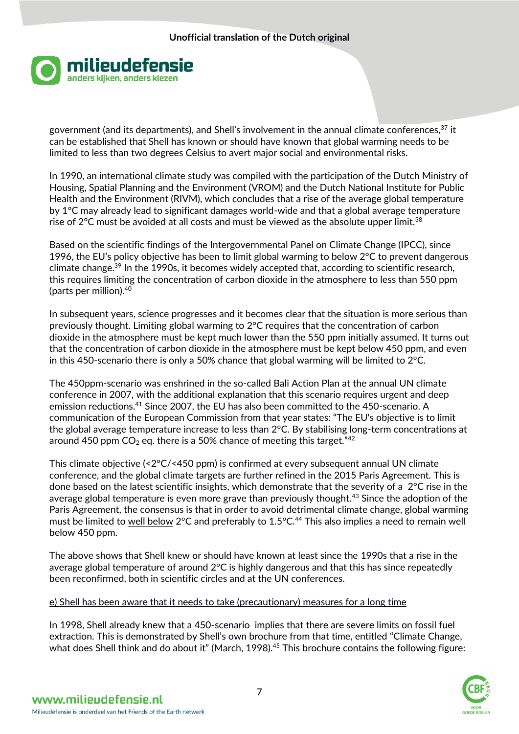

government (and its departments), and Shell's involvement in the annual climate conferences,<sup>37</sup> it can be established that Shell has known or should have known that global warming needs to be limited to less than two degrees Celsius to avert major social and environmental risks.

In 1990, an international climate study was compiled with the participation of the Dutch Ministry of Housing, Spatial Planning and the Environment (VROM) and the Dutch National Institute for Public Health and the Environment (RIVM), which concludes that a rise of the average global temperature by 1°C may already lead to significant damages world-wide and that a global average temperature rise of 2°C must be avoided at all costs and must be viewed as the absolute upper limit.<sup>38</sup>

Based on the scientific findings of the Intergovernmental Panel on Climate Change (IPCC), since 1996, the EU's policy objective has been to limit global warming to below 2°C to prevent dangerous climate change.<sup>39</sup> In the 1990s, it becomes widely accepted that, according to scientific research, this requires limiting the concentration of carbon dioxide in the atmosphere to less than 550 ppm (parts per million).<sup>40</sup>

In subsequent years, science progresses and it becomes clear that the situation is more serious than previously thought. Limiting global warming to 2°C requires that the concentration of carbon dioxide in the atmosphere must be kept much lower than the 550 ppm initially assumed. It turns out that the concentration of carbon dioxide in the atmosphere must be kept below 450 ppm, and even in this 450-scenario there is only a 50% chance that global warming will be limited to 2°C.

The 450ppm-scenario was enshrined in the so-called Bali Action Plan at the annual UN climate conference in 2007, with the additional explanation that this scenario requires urgent and deep emission reductions.<sup>41</sup> Since 2007, the EU has also been committed to the 450-scenario. A communication of the European Commission from that year states: "The EU's objective is to limit the global average temperature increase to less than 2°C. By stabilising long-term concentrations at around 450 ppm  $CO<sub>2</sub>$  eq. there is a 50% chance of meeting this target." $42$ 

This climate objective (<2°C/<450 ppm) is confirmed at every subsequent annual UN climate conference, and the global climate targets are further refined in the 2015 Paris Agreement. This is done based on the latest scientific insights, which demonstrate that the severity of a 2°C rise in the average global temperature is even more grave than previously thought.<sup>43</sup> Since the adoption of the Paris Agreement, the consensus is that in order to avoid detrimental climate change, global warming must be limited to well below 2°C and preferably to  $1.5$ °C.<sup>44</sup> This also implies a need to remain well below 450 ppm.

The above shows that Shell knew or should have known at least since the 1990s that a rise in the average global temperature of around 2°C is highly dangerous and that this has since repeatedly been reconfirmed, both in scientific circles and at the UN conferences.

# e) Shell has been aware that it needs to take (precautionary) measures for a long time

In 1998, Shell already knew that a 450-scenario implies that there are severe limits on fossil fuel extraction. This is demonstrated by Shell's own brochure from that time, entitled "Climate Change, what does Shell think and do about it" (March, 1998).<sup>45</sup> This brochure contains the following figure:

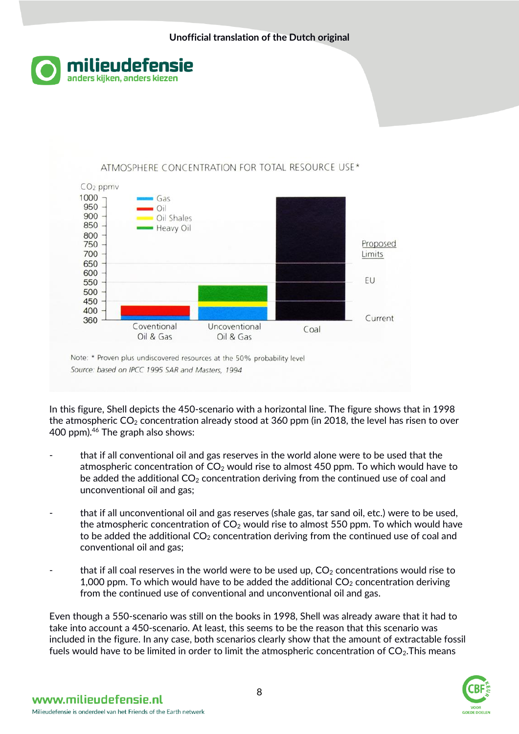



Source: based on IPCC 1995 SAR and Masters, 1994

In this figure, Shell depicts the 450-scenario with a horizontal line. The figure shows that in 1998 the atmospheric  $CO<sub>2</sub>$  concentration already stood at 360 ppm (in 2018, the level has risen to over 400 ppm).<sup>46</sup> The graph also shows:

- that if all conventional oil and gas reserves in the world alone were to be used that the atmospheric concentration of  $CO<sub>2</sub>$  would rise to almost 450 ppm. To which would have to be added the additional  $CO<sub>2</sub>$  concentration deriving from the continued use of coal and unconventional oil and gas;
- that if all unconventional oil and gas reserves (shale gas, tar sand oil, etc.) were to be used, the atmospheric concentration of  $CO<sub>2</sub>$  would rise to almost 550 ppm. To which would have to be added the additional  $CO<sub>2</sub>$  concentration deriving from the continued use of coal and conventional oil and gas;
- that if all coal reserves in the world were to be used up,  $CO<sub>2</sub>$  concentrations would rise to 1,000 ppm. To which would have to be added the additional  $CO<sub>2</sub>$  concentration deriving from the continued use of conventional and unconventional oil and gas.

Even though a 550-scenario was still on the books in 1998, Shell was already aware that it had to take into account a 450-scenario. At least, this seems to be the reason that this scenario was included in the figure. In any case, both scenarios clearly show that the amount of extractable fossil fuels would have to be limited in order to limit the atmospheric concentration of  $CO<sub>2</sub>$ . This means

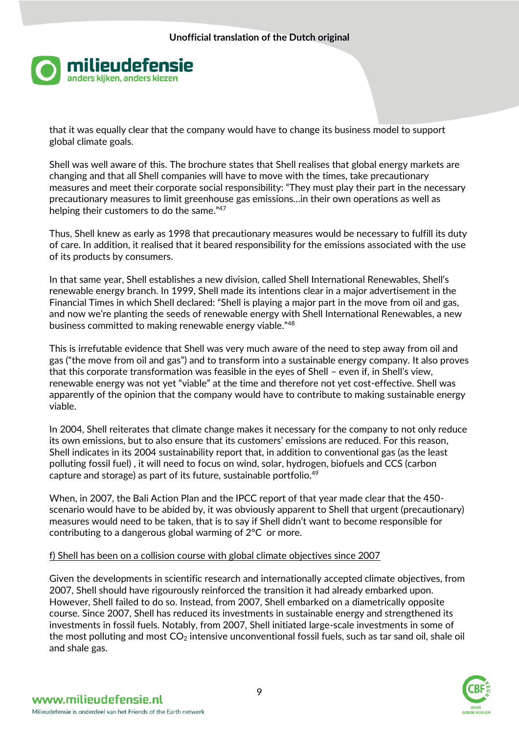

that it was equally clear that the company would have to change its business model to support global climate goals.

Shell was well aware of this. The brochure states that Shell realises that global energy markets are changing and that all Shell companies will have to move with the times, take precautionary measures and meet their corporate social responsibility: "They must play their part in the necessary precautionary measures to limit greenhouse gas emissions…in their own operations as well as helping their customers to do the same."47

Thus, Shell knew as early as 1998 that precautionary measures would be necessary to fulfill its duty of care. In addition, it realised that it beared responsibility for the emissions associated with the use of its products by consumers.

In that same year, Shell establishes a new division, called Shell International Renewables, Shell's renewable energy branch. In 1999, Shell made its intentions clear in a major advertisement in the Financial Times in which Shell declared: "Shell is playing a major part in the move from oil and gas, and now we're planting the seeds of renewable energy with Shell International Renewables, a new business committed to making renewable energy viable."<sup>48</sup>

This is irrefutable evidence that Shell was very much aware of the need to step away from oil and gas ("the move from oil and gas") and to transform into a sustainable energy company. It also proves that this corporate transformation was feasible in the eyes of Shell – even if, in Shell's view, renewable energy was not yet "viable" at the time and therefore not yet cost-effective. Shell was apparently of the opinion that the company would have to contribute to making sustainable energy viable.

In 2004, Shell reiterates that climate change makes it necessary for the company to not only reduce its own emissions, but to also ensure that its customers' emissions are reduced. For this reason, Shell indicates in its 2004 sustainability report that, in addition to conventional gas (as the least polluting fossil fuel) , it will need to focus on wind, solar, hydrogen, biofuels and CCS (carbon capture and storage) as part of its future, sustainable portfolio. $49$ 

When, in 2007, the Bali Action Plan and the IPCC report of that year made clear that the 450 scenario would have to be abided by, it was obviously apparent to Shell that urgent (precautionary) measures would need to be taken, that is to say if Shell didn't want to become responsible for contributing to a dangerous global warming of 2°C or more.

### f) Shell has been on a collision course with global climate objectives since 2007

Given the developments in scientific research and internationally accepted climate objectives, from 2007, Shell should have rigourously reinforced the transition it had already embarked upon. However, Shell failed to do so. Instead, from 2007, Shell embarked on a diametrically opposite course. Since 2007, Shell has reduced its investments in sustainable energy and strengthened its investments in fossil fuels. Notably, from 2007, Shell initiated large-scale investments in some of the most polluting and most  $CO<sub>2</sub>$  intensive unconventional fossil fuels, such as tar sand oil, shale oil and shale gas.

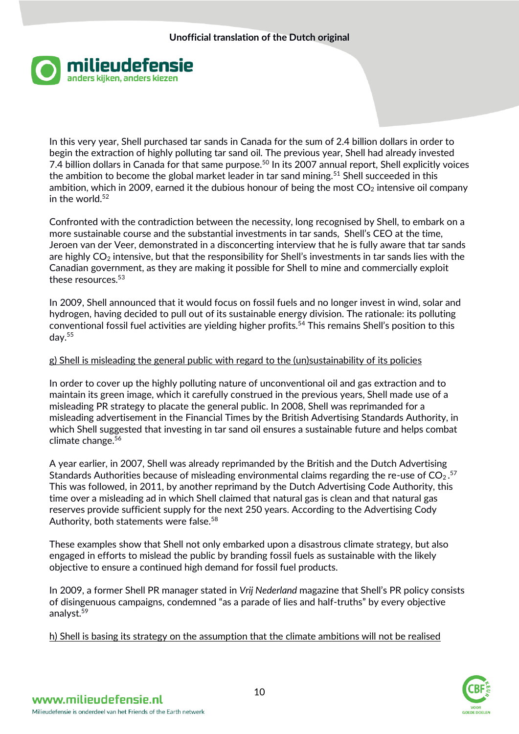

In this very year, Shell purchased tar sands in Canada for the sum of 2.4 billion dollars in order to begin the extraction of highly polluting tar sand oil. The previous year, Shell had already invested 7.4 billion dollars in Canada for that same purpose.<sup>50</sup> In its 2007 annual report, Shell explicitly voices the ambition to become the global market leader in tar sand mining.<sup>51</sup> Shell succeeded in this ambition, which in 2009, earned it the dubious honour of being the most  $CO<sub>2</sub>$  intensive oil company in the world. $52$ 

Confronted with the contradiction between the necessity, long recognised by Shell, to embark on a more sustainable course and the substantial investments in tar sands, Shell's CEO at the time, Jeroen van der Veer, demonstrated in a disconcerting interview that he is fully aware that tar sands are highly  $CO<sub>2</sub>$  intensive, but that the responsibility for Shell's investments in tar sands lies with the Canadian government, as they are making it possible for Shell to mine and commercially exploit these resources.<sup>53</sup>

In 2009, Shell announced that it would focus on fossil fuels and no longer invest in wind, solar and hydrogen, having decided to pull out of its sustainable energy division. The rationale: its polluting conventional fossil fuel activities are yielding higher profits.<sup>54</sup> This remains Shell's position to this day.<sup>55</sup>

### g) Shell is misleading the general public with regard to the (un)sustainability of its policies

In order to cover up the highly polluting nature of unconventional oil and gas extraction and to maintain its green image, which it carefully construed in the previous years, Shell made use of a misleading PR strategy to placate the general public. In 2008, Shell was reprimanded for a misleading advertisement in the Financial Times by the British Advertising Standards Authority, in which Shell suggested that investing in tar sand oil ensures a sustainable future and helps combat climate change.<sup>56</sup>

A year earlier, in 2007, Shell was already reprimanded by the British and the Dutch Advertising Standards Authorities because of misleading environmental claims regarding the re-use of  $CO<sub>2</sub>$ .<sup>57</sup> This was followed, in 2011, by another reprimand by the Dutch Advertising Code Authority, this time over a misleading ad in which Shell claimed that natural gas is clean and that natural gas reserves provide sufficient supply for the next 250 years. According to the Advertising Cody Authority, both statements were false.<sup>58</sup>

These examples show that Shell not only embarked upon a disastrous climate strategy, but also engaged in efforts to mislead the public by branding fossil fuels as sustainable with the likely objective to ensure a continued high demand for fossil fuel products.

In 2009, a former Shell PR manager stated in *Vrij Nederland* magazine that Shell's PR policy consists of disingenuous campaigns, condemned "as a parade of lies and half-truths" by every objective analyst.<sup>59</sup>

h) Shell is basing its strategy on the assumption that the climate ambitions will not be realised

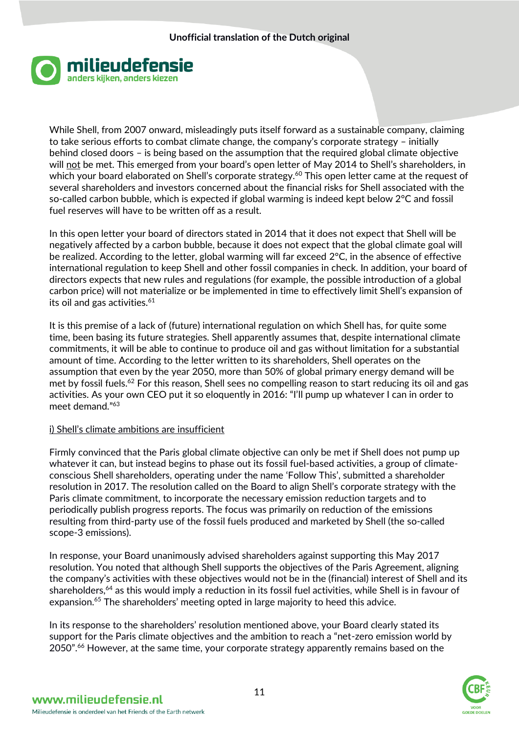

While Shell, from 2007 onward, misleadingly puts itself forward as a sustainable company, claiming to take serious efforts to combat climate change, the company's corporate strategy – initially behind closed doors – is being based on the assumption that the required global climate objective will not be met. This emerged from your board's open letter of May 2014 to Shell's shareholders, in which your board elaborated on Shell's corporate strategy.<sup>60</sup> This open letter came at the request of several shareholders and investors concerned about the financial risks for Shell associated with the so-called carbon bubble, which is expected if global warming is indeed kept below 2°C and fossil fuel reserves will have to be written off as a result.

In this open letter your board of directors stated in 2014 that it does not expect that Shell will be negatively affected by a carbon bubble, because it does not expect that the global climate goal will be realized. According to the letter, global warming will far exceed 2°C, in the absence of effective international regulation to keep Shell and other fossil companies in check. In addition, your board of directors expects that new rules and regulations (for example, the possible introduction of a global carbon price) will not materialize or be implemented in time to effectively limit Shell's expansion of its oil and gas activities. $61$ 

It is this premise of a lack of (future) international regulation on which Shell has, for quite some time, been basing its future strategies. Shell apparently assumes that, despite international climate commitments, it will be able to continue to produce oil and gas without limitation for a substantial amount of time. According to the letter written to its shareholders, Shell operates on the assumption that even by the year 2050, more than 50% of global primary energy demand will be met by fossil fuels.<sup>62</sup> For this reason, Shell sees no compelling reason to start reducing its oil and gas activities. As your own CEO put it so eloquently in 2016: "I'll pump up whatever I can in order to meet demand."<sup>63</sup>

### i) Shell's climate ambitions are insufficient

Firmly convinced that the Paris global climate objective can only be met if Shell does not pump up whatever it can, but instead begins to phase out its fossil fuel-based activities, a group of climateconscious Shell shareholders, operating under the name 'Follow This', submitted a shareholder resolution in 2017. The resolution called on the Board to align Shell's corporate strategy with the Paris climate commitment, to incorporate the necessary emission reduction targets and to periodically publish progress reports. The focus was primarily on reduction of the emissions resulting from third-party use of the fossil fuels produced and marketed by Shell (the so-called scope-3 emissions).

In response, your Board unanimously advised shareholders against supporting this May 2017 resolution. You noted that although Shell supports the objectives of the Paris Agreement, aligning the company's activities with these objectives would not be in the (financial) interest of Shell and its shareholders,<sup>64</sup> as this would imply a reduction in its fossil fuel activities, while Shell is in favour of expansion.<sup>65</sup> The shareholders' meeting opted in large majority to heed this advice.

In its response to the shareholders' resolution mentioned above, your Board clearly stated its support for the Paris climate objectives and the ambition to reach a "net-zero emission world by 2050".<sup>66</sup> However, at the same time, your corporate strategy apparently remains based on the

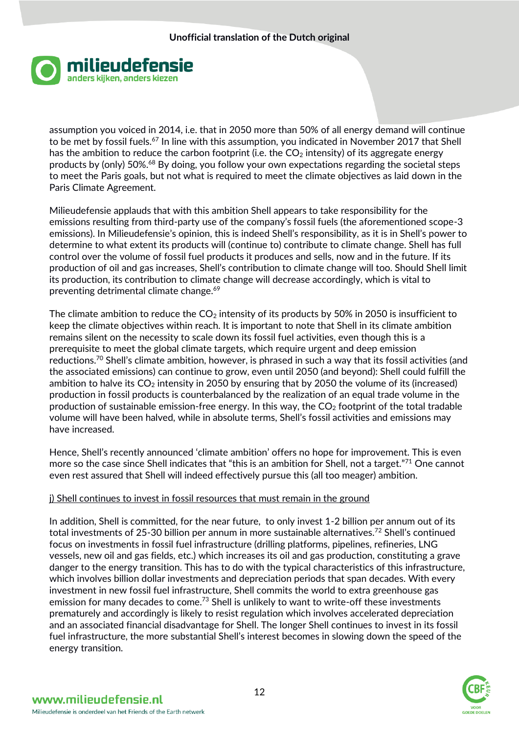

assumption you voiced in 2014, i.e. that in 2050 more than 50% of all energy demand will continue to be met by fossil fuels.<sup>67</sup> In line with this assumption, you indicated in November 2017 that Shell has the ambition to reduce the carbon footprint (i.e. the  $CO<sub>2</sub>$  intensity) of its aggregate energy products by (only) 50%.<sup>68</sup> By doing, you follow your own expectations regarding the societal steps to meet the Paris goals, but not what is required to meet the climate objectives as laid down in the Paris Climate Agreement.

Milieudefensie applauds that with this ambition Shell appears to take responsibility for the emissions resulting from third-party use of the company's fossil fuels (the aforementioned scope-3 emissions). In Milieudefensie's opinion, this is indeed Shell's responsibility, as it is in Shell's power to determine to what extent its products will (continue to) contribute to climate change. Shell has full control over the volume of fossil fuel products it produces and sells, now and in the future. If its production of oil and gas increases, Shell's contribution to climate change will too. Should Shell limit its production, its contribution to climate change will decrease accordingly, which is vital to preventing detrimental climate change.<sup>69</sup>

The climate ambition to reduce the  $CO<sub>2</sub>$  intensity of its products by 50% in 2050 is insufficient to keep the climate objectives within reach. It is important to note that Shell in its climate ambition remains silent on the necessity to scale down its fossil fuel activities, even though this is a prerequisite to meet the global climate targets, which require urgent and deep emission reductions.<sup>70</sup> Shell's climate ambition, however, is phrased in such a way that its fossil activities (and the associated emissions) can continue to grow, even until 2050 (and beyond): Shell could fulfill the ambition to halve its  $CO<sub>2</sub>$  intensity in 2050 by ensuring that by 2050 the volume of its (increased) production in fossil products is counterbalanced by the realization of an equal trade volume in the production of sustainable emission-free energy. In this way, the  $CO<sub>2</sub>$  footprint of the total tradable volume will have been halved, while in absolute terms, Shell's fossil activities and emissions may have increased.

Hence, Shell's recently announced 'climate ambition' offers no hope for improvement. This is even more so the case since Shell indicates that "this is an ambition for Shell, not a target."<sup>71</sup> One cannot even rest assured that Shell will indeed effectively pursue this (all too meager) ambition.

### j) Shell continues to invest in fossil resources that must remain in the ground

In addition, Shell is committed, for the near future, to only invest 1-2 billion per annum out of its total investments of 25-30 billion per annum in more sustainable alternatives.<sup>72</sup> Shell's continued focus on investments in fossil fuel infrastructure (drilling platforms, pipelines, refineries, LNG vessels, new oil and gas fields, etc.) which increases its oil and gas production, constituting a grave danger to the energy transition. This has to do with the typical characteristics of this infrastructure, which involves billion dollar investments and depreciation periods that span decades. With every investment in new fossil fuel infrastructure, Shell commits the world to extra greenhouse gas emission for many decades to come.<sup>73</sup> Shell is unlikely to want to write-off these investments prematurely and accordingly is likely to resist regulation which involves accelerated depreciation and an associated financial disadvantage for Shell. The longer Shell continues to invest in its fossil fuel infrastructure, the more substantial Shell's interest becomes in slowing down the speed of the energy transition.

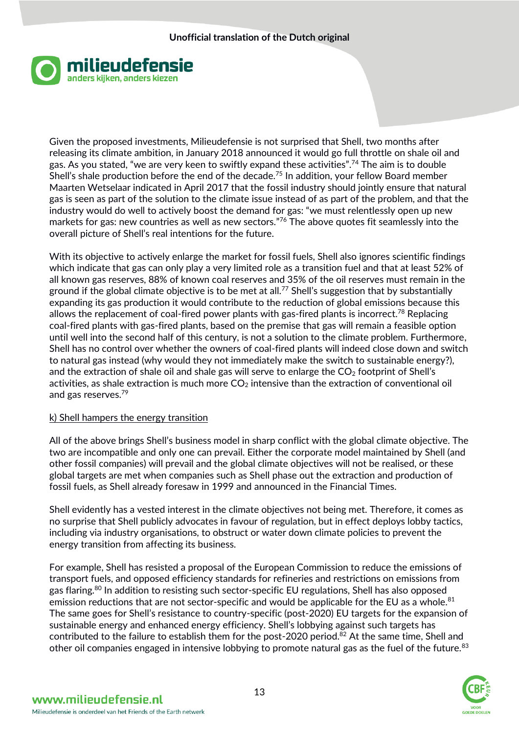

Given the proposed investments, Milieudefensie is not surprised that Shell, two months after releasing its climate ambition, in January 2018 announced it would go full throttle on shale oil and gas. As you stated, "we are very keen to swiftly expand these activities".<sup>74</sup> The aim is to double Shell's shale production before the end of the decade.<sup>75</sup> In addition, your fellow Board member Maarten Wetselaar indicated in April 2017 that the fossil industry should jointly ensure that natural gas is seen as part of the solution to the climate issue instead of as part of the problem, and that the industry would do well to actively boost the demand for gas: "we must relentlessly open up new markets for gas: new countries as well as new sectors.<sup>"76</sup> The above quotes fit seamlessly into the overall picture of Shell's real intentions for the future.

With its objective to actively enlarge the market for fossil fuels, Shell also ignores scientific findings which indicate that gas can only play a very limited role as a transition fuel and that at least 52% of all known gas reserves, 88% of known coal reserves and 35% of the oil reserves must remain in the ground if the global climate objective is to be met at all.<sup>77</sup> Shell's suggestion that by substantially expanding its gas production it would contribute to the reduction of global emissions because this allows the replacement of coal-fired power plants with gas-fired plants is incorrect.<sup>78</sup> Replacing coal-fired plants with gas-fired plants, based on the premise that gas will remain a feasible option until well into the second half of this century, is not a solution to the climate problem. Furthermore, Shell has no control over whether the owners of coal-fired plants will indeed close down and switch to natural gas instead (why would they not immediately make the switch to sustainable energy?), and the extraction of shale oil and shale gas will serve to enlarge the  $CO<sub>2</sub>$  footprint of Shell's activities, as shale extraction is much more  $CO<sub>2</sub>$  intensive than the extraction of conventional oil and gas reserves.<sup>79</sup>

# k) Shell hampers the energy transition

All of the above brings Shell's business model in sharp conflict with the global climate objective. The two are incompatible and only one can prevail. Either the corporate model maintained by Shell (and other fossil companies) will prevail and the global climate objectives will not be realised, or these global targets are met when companies such as Shell phase out the extraction and production of fossil fuels, as Shell already foresaw in 1999 and announced in the Financial Times.

Shell evidently has a vested interest in the climate objectives not being met. Therefore, it comes as no surprise that Shell publicly advocates in favour of regulation, but in effect deploys lobby tactics, including via industry organisations, to obstruct or water down climate policies to prevent the energy transition from affecting its business.

For example, Shell has resisted a proposal of the European Commission to reduce the emissions of transport fuels, and opposed efficiency standards for refineries and restrictions on emissions from gas flaring.<sup>80</sup> In addition to resisting such sector-specific EU regulations, Shell has also opposed emission reductions that are not sector-specific and would be applicable for the EU as a whole.<sup>81</sup> The same goes for Shell's resistance to country-specific (post-2020) EU targets for the expansion of sustainable energy and enhanced energy efficiency. Shell's lobbying against such targets has contributed to the failure to establish them for the post-2020 period.<sup>82</sup> At the same time, Shell and other oil companies engaged in intensive lobbying to promote natural gas as the fuel of the future.<sup>83</sup>

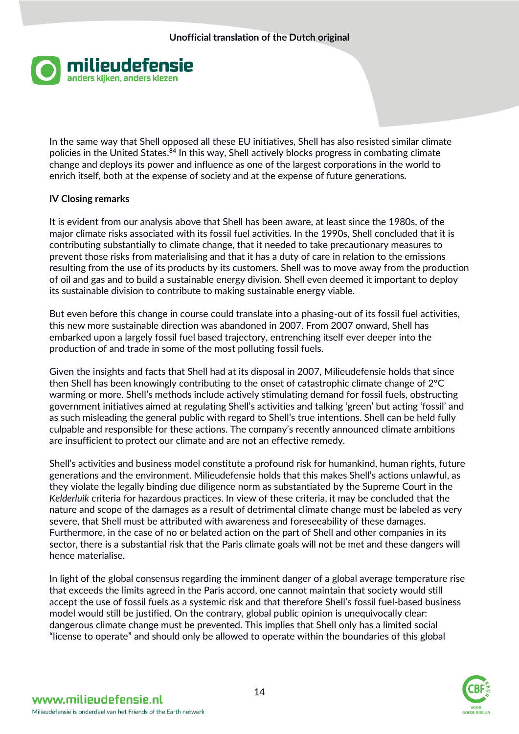

In the same way that Shell opposed all these EU initiatives, Shell has also resisted similar climate policies in the United States.<sup>84</sup> In this way, Shell actively blocks progress in combating climate change and deploys its power and influence as one of the largest corporations in the world to enrich itself, both at the expense of society and at the expense of future generations.

### **IV Closing remarks**

It is evident from our analysis above that Shell has been aware, at least since the 1980s, of the major climate risks associated with its fossil fuel activities. In the 1990s, Shell concluded that it is contributing substantially to climate change, that it needed to take precautionary measures to prevent those risks from materialising and that it has a duty of care in relation to the emissions resulting from the use of its products by its customers. Shell was to move away from the production of oil and gas and to build a sustainable energy division. Shell even deemed it important to deploy its sustainable division to contribute to making sustainable energy viable.

But even before this change in course could translate into a phasing-out of its fossil fuel activities, this new more sustainable direction was abandoned in 2007. From 2007 onward, Shell has embarked upon a largely fossil fuel based trajectory, entrenching itself ever deeper into the production of and trade in some of the most polluting fossil fuels.

Given the insights and facts that Shell had at its disposal in 2007, Milieudefensie holds that since then Shell has been knowingly contributing to the onset of catastrophic climate change of 2°C warming or more. Shell's methods include actively stimulating demand for fossil fuels, obstructing government initiatives aimed at regulating Shell's activities and talking 'green' but acting 'fossil' and as such misleading the general public with regard to Shell's true intentions. Shell can be held fully culpable and responsible for these actions. The company's recently announced climate ambitions are insufficient to protect our climate and are not an effective remedy.

Shell's activities and business model constitute a profound risk for humankind, human rights, future generations and the environment. Milieudefensie holds that this makes Shell's actions unlawful, as they violate the legally binding due diligence norm as substantiated by the Supreme Court in the *Kelderluik* criteria for hazardous practices. In view of these criteria, it may be concluded that the nature and scope of the damages as a result of detrimental climate change must be labeled as very severe, that Shell must be attributed with awareness and foreseeability of these damages. Furthermore, in the case of no or belated action on the part of Shell and other companies in its sector, there is a substantial risk that the Paris climate goals will not be met and these dangers will hence materialise.

In light of the global consensus regarding the imminent danger of a global average temperature rise that exceeds the limits agreed in the Paris accord, one cannot maintain that society would still accept the use of fossil fuels as a systemic risk and that therefore Shell's fossil fuel-based business model would still be justified. On the contrary, global public opinion is unequivocally clear: dangerous climate change must be prevented. This implies that Shell only has a limited social "license to operate" and should only be allowed to operate within the boundaries of this global

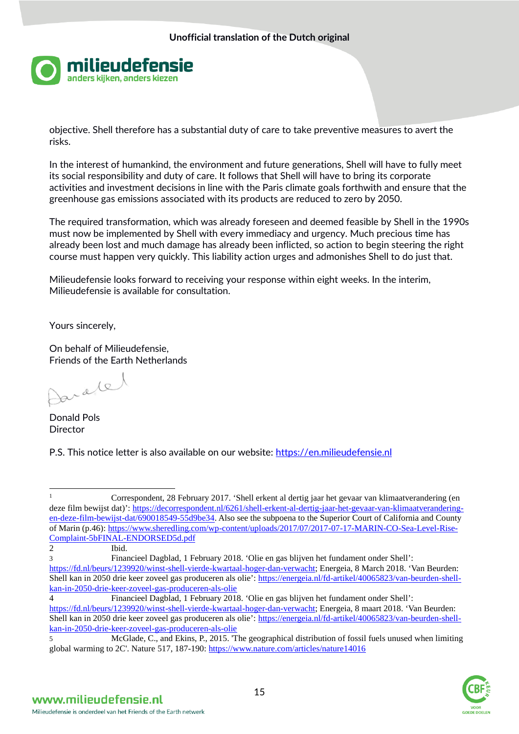

objective. Shell therefore has a substantial duty of care to take preventive measures to avert the risks.

In the interest of humankind, the environment and future generations, Shell will have to fully meet its social responsibility and duty of care. It follows that Shell will have to bring its corporate activities and investment decisions in line with the Paris climate goals forthwith and ensure that the greenhouse gas emissions associated with its products are reduced to zero by 2050.

The required transformation, which was already foreseen and deemed feasible by Shell in the 1990s must now be implemented by Shell with every immediacy and urgency. Much precious time has already been lost and much damage has already been inflicted, so action to begin steering the right course must happen very quickly. This liability action urges and admonishes Shell to do just that.

Milieudefensie looks forward to receiving your response within eight weeks. In the interim, Milieudefensie is available for consultation.

Yours sincerely,

On behalf of Milieudefensie, Friends of the Earth Netherlands

ratel

Donald Pols **Director** 

P.S. This notice letter is also available on our website: [https://en.milieudefensie.nl](https://en.milieudefensie.nl/)

3 Financieel Dagblad, 1 February 2018. 'Olie en gas blijven het fundament onder Shell': <https://fd.nl/beurs/1239920/winst-shell-vierde-kwartaal-hoger-dan-verwacht>; Energeia, 8 March 2018. 'Van Beurden: Shell kan in 2050 drie keer zoveel gas produceren als olie': [https://energeia.nl/fd-artikel/40065823/van-beurden-shell](https://energeia.nl/fd-artikel/40065823/van-beurden-shell-kan-in-2050-drie-keer-zoveel-gas-produceren-als-olie)[kan-in-2050-drie-keer-zoveel-gas-produceren-als-olie](https://energeia.nl/fd-artikel/40065823/van-beurden-shell-kan-in-2050-drie-keer-zoveel-gas-produceren-als-olie)

<sup>5</sup> McGlade, C., and Ekins, P., 2015. 'The geographical distribution of fossil fuels unused when limiting global warming to 2C'. Nature 517, 187-190:<https://www.nature.com/articles/nature14016>



<sup>&</sup>lt;u>.</u> <sup>1</sup> Correspondent, 28 February 2017. 'Shell erkent al dertig jaar het gevaar van klimaatverandering (en deze film bewijst dat)': [https://decorrespondent.nl/6261/shell-erkent-al-dertig-jaar-het-gevaar-van-klimaatverandering](https://decorrespondent.nl/6261/shell-erkent-al-dertig-jaar-het-gevaar-van-klimaatverandering-en-deze-film-bewijst-dat/69001854)[en-deze-film-bewijst-dat/690018549-55d9be34.](https://decorrespondent.nl/6261/shell-erkent-al-dertig-jaar-het-gevaar-van-klimaatverandering-en-deze-film-bewijst-dat/69001854) Also see the subpoena to the Superior Court of California and County of Marin (p.46): [https://www.sheredling.com/wp-content/uploads/2017/07/2017-07-17-MARIN-CO-Sea-Level-Rise-](https://www.sheredling.com/wp-content/uploads/2017/07/2017-07-17-MARIN-CO-Sea-Level-Rise-Complaint-5bFINAL-ENDORSED5d.pdf)[Complaint-5bFINAL-ENDORSED5d.pdf](https://www.sheredling.com/wp-content/uploads/2017/07/2017-07-17-MARIN-CO-Sea-Level-Rise-Complaint-5bFINAL-ENDORSED5d.pdf)

<sup>2</sup> Ibid.

<sup>4</sup> Financieel Dagblad, 1 February 2018. 'Olie en gas blijven het fundament onder Shell': <https://fd.nl/beurs/1239920/winst-shell-vierde-kwartaal-hoger-dan-verwacht>; Energeia, 8 maart 2018. 'Van Beurden: Shell kan in 2050 drie keer zoveel gas produceren als olie': [https://energeia.nl/fd-artikel/40065823/van-beurden-shell](https://energeia.nl/fd-artikel/40065823/van-beurden-shell-kan-in-2050-drie-keer-zoveel-gas-produceren-als-olie)[kan-in-2050-drie-keer-zoveel-gas-produceren-als-olie](https://energeia.nl/fd-artikel/40065823/van-beurden-shell-kan-in-2050-drie-keer-zoveel-gas-produceren-als-olie)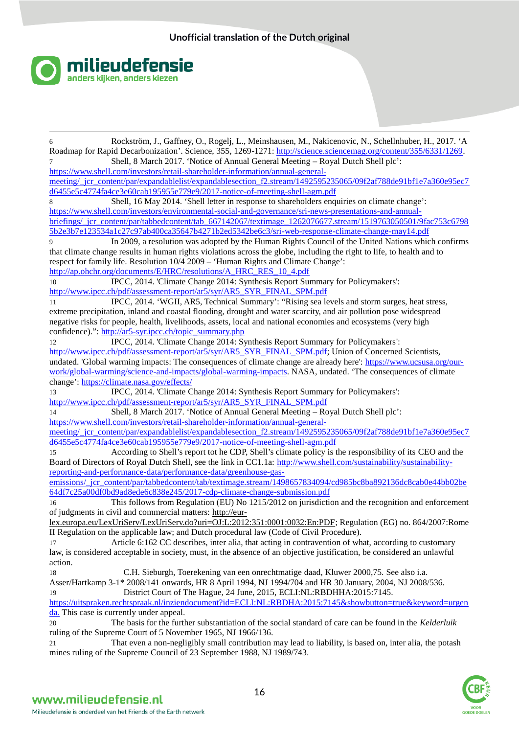

| Rockström, J., Gaffney, O., Rogelj, L., Meinshausen, M., Nakicenovic, N., Schellnhuber, H., 2017. 'A<br>6               |
|-------------------------------------------------------------------------------------------------------------------------|
| Roadmap for Rapid Decarbonization'. Science, 355, 1269-1271: http://science.sciencemag.org/content/355/6331/1269.       |
| Shell, 8 March 2017. 'Notice of Annual General Meeting - Royal Dutch Shell plc':                                        |
| https://www.shell.com/investors/retail-shareholder-information/annual-general-                                          |
| meeting/ jcr_content/par/expandablelist/expandablesection_f2.stream/1492595235065/09f2af788de91bf1e7a360e95ec7          |
| d6455e5c4774fa4ce3e60cab195955e779e9/2017-notice-of-meeting-shell-agm.pdf                                               |
| Shell, 16 May 2014. 'Shell letter in response to shareholders enquiries on climate change':<br>8                        |
| https://www.shell.com/investors/environmental-social-and-governance/sri-news-presentations-and-annual-                  |
| briefings/_jcr_content/par/tabbedcontent/tab_667142067/textimage_1262076677.stream/1519763050501/9fac753c6798           |
| 5b2e3b7e123534a1c27c97ab400ca35647b4271b2ed5342be6c3/sri-web-response-climate-change-may14.pdf                          |
| In 2009, a resolution was adopted by the Human Rights Council of the United Nations which confirms<br>9                 |
| that climate change results in human rights violations across the globe, including the right to life, to health and to  |
| respect for family life. Resolution 10/4 2009 - 'Human Rights and Climate Change':                                      |
| http://ap.ohchr.org/documents/E/HRC/resolutions/A HRC RES 10 4.pdf                                                      |
| IPCC, 2014. 'Climate Change 2014: Synthesis Report Summary for Policymakers':<br>10                                     |
| http://www.ipcc.ch/pdf/assessment-report/ar5/syr/AR5_SYR_FINAL_SPM.pdf                                                  |
|                                                                                                                         |
| IPCC, 2014. 'WGII, AR5, Technical Summary': "Rising sea levels and storm surges, heat stress,<br>11                     |
| extreme precipitation, inland and coastal flooding, drought and water scarcity, and air pollution pose widespread       |
| negative risks for people, health, livelihoods, assets, local and national economies and ecosystems (very high          |
| confidence).": http://ar5-syr.ipcc.ch/topic_summary.php                                                                 |
| IPCC, 2014. 'Climate Change 2014: Synthesis Report Summary for Policymakers':<br>12                                     |
| http://www.ipcc.ch/pdf/assessment-report/ar5/syr/AR5_SYR_FINAL_SPM.pdf; Union of Concerned Scientists,                  |
| undated. 'Global warming impacts: The consequences of climate change are already here': https://www.ucsusa.org/our-     |
| work/global-warming/science-and-impacts/global-warming-impacts. NASA, undated. 'The consequences of climate             |
| change': https://climate.nasa.gov/effects/                                                                              |
| IPCC, 2014. 'Climate Change 2014: Synthesis Report Summary for Policymakers':<br>13                                     |
| http://www.ipcc.ch/pdf/assessment-report/ar5/syr/AR5 SYR FINAL SPM.pdf                                                  |
| Shell, 8 March 2017. 'Notice of Annual General Meeting - Royal Dutch Shell plc':<br>14                                  |
| https://www.shell.com/investors/retail-shareholder-information/annual-general-                                          |
| meeting/ jcr_content/par/expandablelist/expandablesection_f2.stream/1492595235065/09f2af788de91bf1e7a360e95ec7          |
| d6455e5c4774fa4ce3e60cab195955e779e9/2017-notice-of-meeting-shell-agm.pdf                                               |
| According to Shell's report tot he CDP, Shell's climate policy is the responsibility of its CEO and the<br>15           |
| Board of Directors of Royal Dutch Shell, see the link in CC1.1a: http://www.shell.com/sustainability/sustainability-    |
| reporting-and-performance-data/performance-data/greenhouse-gas-                                                         |
| emissions/_jcr_content/par/tabbedcontent/tab/textimage.stream/1498657834094/cd985bc8ba892136dc8cab0e44bb02be            |
| 64df7c25a00df0bd9ad8ede6c838e245/2017-cdp-climate-change-submission.pdf                                                 |
| This follows from Regulation (EU) No 1215/2012 on jurisdiction and the recognition and enforcement<br>16                |
| of judgments in civil and commercial matters: http://eur-                                                               |
| lex.europa.eu/LexUriServ/LexUriServ.do?uri=OJ:L:2012:351:0001:0032:En:PDF; Regulation (EG) no. 864/2007:Rome            |
| II Regulation on the applicable law; and Dutch procedural law (Code of Civil Procedure).                                |
| Article 6:162 CC describes, inter alia, that acting in contravention of what, according to customary<br>17              |
| law, is considered acceptable in society, must, in the absence of an objective justification, be considered an unlawful |
| action.                                                                                                                 |
| C.H. Sieburgh, Toerekening van een onrechtmatige daad, Kluwer 2000,75. See also i.a.                                    |
| 18<br>Asser/Hartkamp 3-1* 2008/141 onwards, HR 8 April 1994, NJ 1994/704 and HR 30 January, 2004, NJ 2008/536.          |
|                                                                                                                         |
| District Court of The Hague, 24 June, 2015, ECLI:NL:RBDHHA:2015:7145.<br>19                                             |
| https://uitspraken.rechtspraak.nl/inziendocument?id=ECLI:NL:RBDHA:2015:7145&showbutton=true&keyword=urgen               |
| da. This case is currently under appeal.                                                                                |
| The basis for the further substantiation of the social standard of care can be found in the Kelderluik<br>20            |
| ruling of the Supreme Court of 5 November 1965, NJ 1966/136.                                                            |
| That even a non-negligibly small contribution may lead to liability, is based on, inter alia, the potash<br>21          |
| mines ruling of the Supreme Council of 23 September 1988, NJ 1989/743.                                                  |

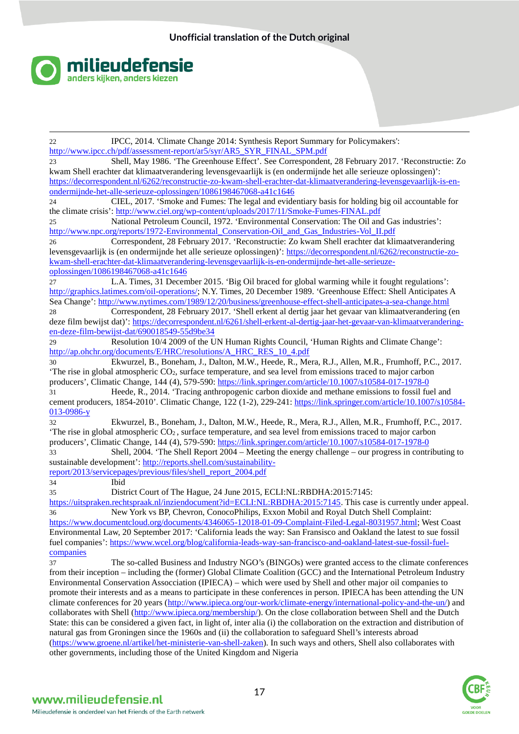

<u>.</u> 22 IPCC, 2014. 'Climate Change 2014: Synthesis Report Summary for Policymakers': [http://www.ipcc.ch/pdf/assessment-report/ar5/syr/AR5\\_SYR\\_FINAL\\_SPM.pdf](http://www.ipcc.ch/pdf/assessment-report/ar5/syr/AR5_SYR_FINAL_SPM.pdf) 23 Shell, May 1986. 'The Greenhouse Effect'. See Correspondent, 28 February 2017. 'Reconstructie: Zo kwam Shell erachter dat klimaatverandering levensgevaarlijk is (en ondermijnde het alle serieuze oplossingen)': [https://decorrespondent.nl/6262/reconstructie-zo-kwam-shell-erachter-dat-klimaatverandering-levensgevaarlijk-is-en](https://decorrespondent.nl/6262/reconstructie-zo-kwam-shell-erachter-dat-klimaatverandering-levensgevaarlijk-is-en-ondermijnde-)[ondermijnde-het-alle-serieuze-oplossingen/1086198467068-a41c1646](https://decorrespondent.nl/6262/reconstructie-zo-kwam-shell-erachter-dat-klimaatverandering-levensgevaarlijk-is-en-ondermijnde-)  24 CIEL, 2017. 'Smoke and Fumes: The legal and evidentiary basis for holding big oil accountable for the climate crisis': <http://www.ciel.org/wp-content/uploads/2017/11/Smoke-Fumes-FINAL.pdf> 25 National Petroleum Council, 1972. 'Environmental Conservation: The Oil and Gas industries': [http://www.npc.org/reports/1972-Environmental\\_Conservation-Oil\\_and\\_Gas\\_Industries-Vol\\_II.pdf](http://www.npc.org/reports/1972-Environmental_Conservation-Oil_and_Gas_Industries-Vol_II.pdf) 26 Correspondent, 28 February 2017. 'Reconstructie: Zo kwam Shell erachter dat klimaatverandering levensgevaarlijk is (en ondermijnde het alle serieuze oplossingen)': [https://decorrespondent.nl/6262/reconstructie-zo](https://decorrespondent.nl/6262/reconstructie-zo-kwam-shell-erachter-dat-klimaatverandering-levensgevaarlijk-is-en-ondermijnde-)[kwam-shell-erachter-dat-klimaatverandering-levensgevaarlijk-is-en-ondermijnde-het-alle-serieuze](https://decorrespondent.nl/6262/reconstructie-zo-kwam-shell-erachter-dat-klimaatverandering-levensgevaarlijk-is-en-ondermijnde-)[oplossingen/1086198467068-a41c1646](https://decorrespondent.nl/6262/reconstructie-zo-kwam-shell-erachter-dat-klimaatverandering-levensgevaarlijk-is-en-ondermijnde-)  27 L.A. Times, 31 December 2015. 'Big Oil braced for global warming while it fought regulations': [http://graphics.latimes.com/oil-operations/;](http://graphics.latimes.com/oil-operations/) N.Y. Times, 20 December 1989. 'Greenhouse Effect: Shell Anticipates A Sea Change': <http://www.nytimes.com/1989/12/20/business/greenhouse-effect-shell-anticipates-a-sea-change.html> 28 Correspondent, 28 February 2017. 'Shell erkent al dertig jaar het gevaar van klimaatverandering (en deze film bewijst dat)': [https://decorrespondent.nl/6261/shell-erkent-al-dertig-jaar-het-gevaar-van-klimaatverandering](https://decorrespondent.nl/6261/shell-erkent-al-dertig-jaar-het-gevaar-van-klimaatverandering-en-deze-film-bewijst-dat/69001854)[en-deze-film-bewijst-dat/690018549-55d9be34](https://decorrespondent.nl/6261/shell-erkent-al-dertig-jaar-het-gevaar-van-klimaatverandering-en-deze-film-bewijst-dat/69001854) 29 Resolution 10/4 2009 of the UN Human Rights Council, 'Human Rights and Climate Change': [http://ap.ohchr.org/documents/E/HRC/resolutions/A\\_HRC\\_RES\\_10\\_4.pdf](http://ap.ohchr.org/documents/E/HRC/resolutions/A_HRC_RES_10_4.pdf) 30 Ekwurzel, B., Boneham, J., Dalton, M.W., Heede, R., Mera, R.J., Allen, M.R., Frumhoff, P.C., 2017. 'The rise in global atmospheric CO2, surface temperature, and sea level from emissions traced to major carbon producers', Climatic Change, 144 (4), 579-590[: https://link.springer.com/article/10.1007/s10584-017-1978-0](https://link.springer.com/article/10.1007/s10584-017-1978-0) 31 Heede, R., 2014. 'Tracing anthropogenic carbon dioxide and methane emissions to fossil fuel and cement producers, 1854-2010'. Climatic Change, 122 (1-2), 229-241[: https://link.springer.com/article/10.1007/s10584-](https://link.springer.com/article/10.1007/s10584-013-0986-y) [013-0986-y](https://link.springer.com/article/10.1007/s10584-013-0986-y) 32 Ekwurzel, B., Boneham, J., Dalton, M.W., Heede, R., Mera, R.J., Allen, M.R., Frumhoff, P.C., 2017. 'The rise in global atmospheric CO2 , surface temperature, and sea level from emissions traced to major carbon producers', Climatic Change, 144 (4), 579-590[: https://link.springer.com/article/10.1007/s10584-017-1978-0](https://link.springer.com/article/10.1007/s10584-017-1978-0) 33 Shell, 2004. 'The Shell Report 2004 – Meeting the energy challenge – our progress in contributing to sustainable development': [http://reports.shell.com/sustainability](http://reports.shell.com/sustainability-report/2013/servicepages/previous/files/shell_report_2004.pdf)[report/2013/servicepages/previous/files/shell\\_report\\_2004.pdf](http://reports.shell.com/sustainability-report/2013/servicepages/previous/files/shell_report_2004.pdf) 34 Ibid 35 District Court of The Hague, 24 June 2015, ECLI:NL:RBDHA:2015:7145: [https://uitspraken.rechtspraak.nl/inziendocument?id=ECLI:NL:RBDHA:2015:7145.](https://uitspraken.rechtspraak.nl/inziendocument?id=ECLI:NL:RBDHA:2015:7145) This case is currently under appeal. 36 New York vs BP, Chevron, ConocoPhilips, Exxon Mobil and Royal Dutch Shell Complaint: [https://www.documentcloud.org/documents/4346065-12018-01-09-Complaint-Filed-Legal-8031957.html;](https://www.documentcloud.org/documents/4346065-12018-01-09-Complaint-Filed-Legal-8031957.html) West Coast Environmental Law, 20 September 2017: 'California leads the way: San Fransisco and Oakland the latest to sue fossil fuel companies': [https://www.wcel.org/blog/california-leads-way-san-francisco-and-oakland-latest-sue-fossil-fuel](https://www.wcel.org/blog/california-leads-way-san-francisco-and-oakland-latest-sue-fossil-fuel-companies)[companies](https://www.wcel.org/blog/california-leads-way-san-francisco-and-oakland-latest-sue-fossil-fuel-companies) 37 The so-called Business and Industry NGO's (BINGOs) were granted access to the climate conferences from their inception – including the (former) Global Climate Coalition (GCC) and the International Petroleum Industry Environmental Conservation Assocciation (IPIECA) – which were used by Shell and other major oil companies to promote their interests and as a means to participate in these conferences in person. IPIECA has been attending the UN climate conferences for 20 years [\(http://www.ipieca.org/our-work/climate-energy/international-policy-and-the-un/\)](http://www.ipieca.org/our-work/climate-energy/international-policy-and-the-un/) and collaborates with Shell [\(http://www.ipieca.org/membership/\)](http://www.ipieca.org/membership/). On the close collaboration between Shell and the Dutch State: this can be considered a given fact, in light of, inter alia (i) the collaboration on the extraction and distribution of natural gas from Groningen since the 1960s and (ii) the collaboration to safeguard Shell's interests abroad [\(https://www.groene.nl/artikel/het-ministerie-van-shell-zaken\)](https://www.groene.nl/artikel/het-ministerie-van-shell-zaken). In such ways and others, Shell also collaborates with other governments, including those of the United Kingdom and Nigeria

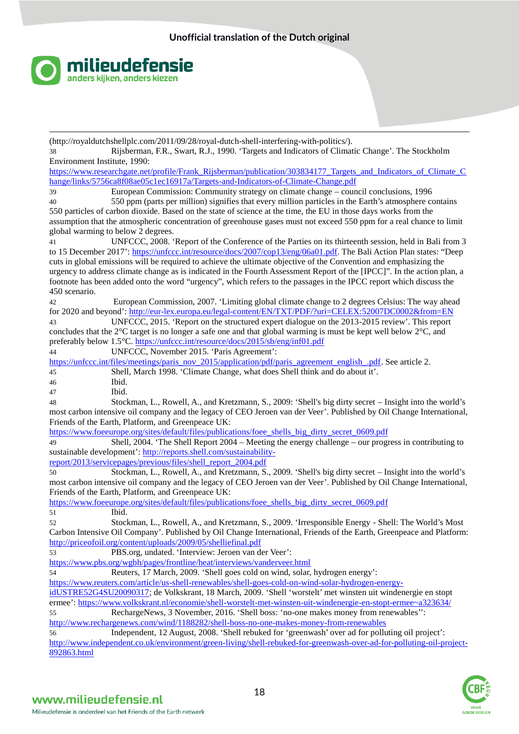

<u>.</u> (http://royaldutchshellplc.com/2011/09/28/royal-dutch-shell-interfering-with-politics/).

38 Rijsberman, F.R., Swart, R.J., 1990. 'Targets and Indicators of Climatic Change'. The Stockholm Environment Institute, 1990:

[https://www.researchgate.net/profile/Frank\\_Rijsberman/publication/303834177\\_Targets\\_and\\_Indicators\\_of\\_Climate\\_C](https://www.researchgate.net/profile/Frank_Rijsberman/publication/303834177_Targets_and_Indicators_of_Climate_Change/links/5756) [hange/links/5756ca8f08ae05c1ec16917a/Targets-and-Indicators-of-Climate-Change.pdf](https://www.researchgate.net/profile/Frank_Rijsberman/publication/303834177_Targets_and_Indicators_of_Climate_Change/links/5756)

39 European Commission: Community strategy on climate change – council conclusions, 1996 40 550 ppm (parts per million) signifies that every million particles in the Earth's atmosphere contains

550 particles of carbon dioxide. Based on the state of science at the time, the EU in those days works from the assumption that the atmospheric concentration of greenhouse gases must not exceed 550 ppm for a real chance to limit global warming to below 2 degrees.

41 UNFCCC, 2008. 'Report of the Conference of the Parties on its thirteenth session, held in Bali from 3 to 15 December 2017': [https://unfccc.int/resource/docs/2007/cop13/eng/06a01.pdf.](https://unfccc.int/resource/docs/2007/cop13/eng/06a01.pdf) The Bali Action Plan states: "Deep cuts in global emissions will be required to achieve the ultimate objective of the Convention and emphasizing the urgency to address climate change as is indicated in the Fourth Assessment Report of the [IPCC]". In the action plan, a footnote has been added onto the word "urgency", which refers to the passages in the IPCC report which discuss the 450 scenario.

42 European Commission, 2007. 'Limiting global climate change to 2 degrees Celsius: The way ahead for 2020 and beyond': <http://eur-lex.europa.eu/legal-content/EN/TXT/PDF/?uri=CELEX:52007DC0002&from=EN>

43 UNFCCC, 2015. 'Report on the structured expert dialogue on the 2013-2015 review'. This report concludes that the 2°C target is no longer a safe one and that global warming is must be kept well below 2°C, and preferably below 1.5°C.<https://unfccc.int/resource/docs/2015/sb/eng/inf01.pdf>

44 UNFCCC, November 2015. 'Paris Agreement':

[https://unfccc.int/files/meetings/paris\\_nov\\_2015/application/pdf/paris\\_agreement\\_english\\_.pdf.](https://unfccc.int/files/meetings/paris_nov_2015/application/pdf/paris_agreement_english_.pdf) See article 2. 45 Shell, March 1998. 'Climate Change, what does Shell think and do about it'.

46 Ibid.

47 Ibid.

48 Stockman, L., Rowell, A., and Kretzmann, S., 2009: 'Shell's big dirty secret – Insight into the world's most carbon intensive oil company and the legacy of CEO Jeroen van der Veer'. Published by Oil Change International, Friends of the Earth, Platform, and Greenpeace UK:

https://www.foeeurope.org/sites/default/files/publications/foee\_shells\_big\_dirty\_secret\_0609.pdf

49 Shell, 2004. 'The Shell Report 2004 – Meeting the energy challenge – our progress in contributing to sustainable development': [http://reports.shell.com/sustainability-](http://reports.shell.com/sustainability-report/2013/servicepages/previous/files/shell_report_2004.pdf)

[report/2013/servicepages/previous/files/shell\\_report\\_2004.pdf](http://reports.shell.com/sustainability-report/2013/servicepages/previous/files/shell_report_2004.pdf)

50 Stockman, L., Rowell, A., and Kretzmann, S., 2009. 'Shell's big dirty secret – Insight into the world's most carbon intensive oil company and the legacy of CEO Jeroen van der Veer'. Published by Oil Change International, Friends of the Earth, Platform, and Greenpeace UK:

[https://www.foeeurope.org/sites/default/files/publications/foee\\_shells\\_big\\_dirty\\_secret\\_0609.pdf](https://www.foeeurope.org/sites/default/files/publications/foee_shells_big_dirty_secret_0609.pdf)  51 Ibid.

52 Stockman, L., Rowell, A., and Kretzmann, S., 2009. 'Irresponsible Energy - Shell: The World's Most Carbon Intensive Oil Company'. Published by Oil Change International, Friends of the Earth, Greenpeace and Platform: <http://priceofoil.org/content/uploads/2009/05/shelliefinal.pdf>

53 PBS.org, undated. 'Interview: Jeroen van der Veer':

<https://www.pbs.org/wgbh/pages/frontline/heat/interviews/vanderveer.html>

54 Reuters, 17 March, 2009. 'Shell goes cold on wind, solar, hydrogen energy':

[https://www.reuters.com/article/us-shell-renewables/shell-goes-cold-on-wind-solar-hydrogen-energy-](https://www.reuters.com/article/us-shell-renewables/shell-goes-cold-on-wind-solar-hydrogen-energy-idUSTRE52G4SU20090317)

[idUSTRE52G4SU20090317;](https://www.reuters.com/article/us-shell-renewables/shell-goes-cold-on-wind-solar-hydrogen-energy-idUSTRE52G4SU20090317) de Volkskrant, 18 March, 2009. 'Shell 'worstelt' met winsten uit windenergie en stopt ermee': <https://www.volkskrant.nl/economie/shell-worstelt-met-winsten-uit-windenergie-en-stopt-ermee~a323634/>

55 RechargeNews, 3 November, 2016. 'Shell boss: 'no-one makes money from renewables'': <http://www.rechargenews.com/wind/1188282/shell-boss-no-one-makes-money-from-renewables>

56 Independent, 12 August, 2008. 'Shell rebuked for 'greenwash' over ad for polluting oil project': [http://www.independent.co.uk/environment/green-living/shell-rebuked-for-greenwash-over-ad-for-polluting-oil-project-](http://www.independent.co.uk/environment/green-living/shell-rebuked-for-greenwash-over-ad-for-polluting-oil-project-892863.html)[892863.html](http://www.independent.co.uk/environment/green-living/shell-rebuked-for-greenwash-over-ad-for-polluting-oil-project-892863.html)

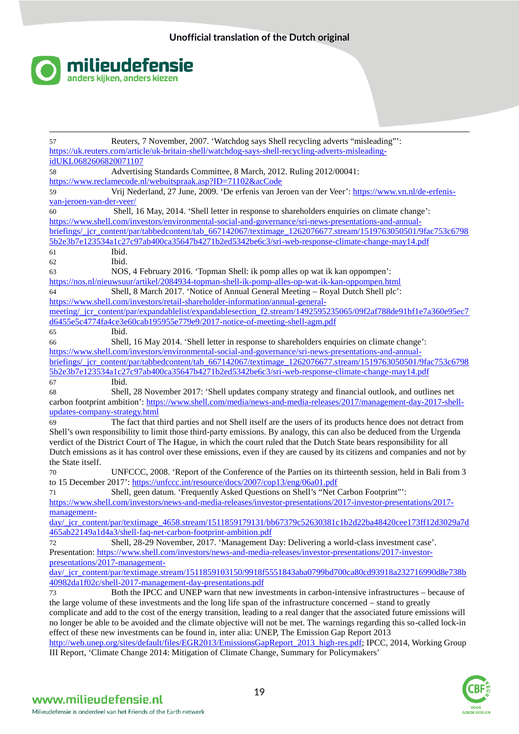

<u>.</u> 57 Reuters, 7 November, 2007. 'Watchdog says Shell recycling adverts "misleading"': [https://uk.reuters.com/article/uk-britain-shell/watchdog-says-shell-recycling-adverts-misleading](https://uk.reuters.com/article/uk-britain-shell/watchdog-says-shell-recycling-adverts-misleading-idUKL0682606820071107)[idUKL0682606820071107](https://uk.reuters.com/article/uk-britain-shell/watchdog-says-shell-recycling-adverts-misleading-idUKL0682606820071107) 58 Advertising Standards Committee, 8 March, 2012. Ruling 2012/00041: <https://www.reclamecode.nl/webuitspraak.asp?ID=71102&acCode> 59 Vrij Nederland, 27 June, 2009. 'De erfenis van Jeroen van der Veer': [https://www.vn.nl/de-erfenis](https://www.vn.nl/de-erfenis-van-jeroen-van-der-veer/)[van-jeroen-van-der-veer/](https://www.vn.nl/de-erfenis-van-jeroen-van-der-veer/) 60 Shell, 16 May, 2014. 'Shell letter in response to shareholders enquiries on climate change': [https://www.shell.com/investors/environmental-social-and-governance/sri-news-presentations-and-annual](https://www.shell.com/investors/environmental-social-and-governance/sri-news-presentations-and-annual-briefings/_jcr_content/pa)[briefings/\\_jcr\\_content/par/tabbedcontent/tab\\_667142067/textimage\\_1262076677.stream/1519763050501/9fac753c6798](https://www.shell.com/investors/environmental-social-and-governance/sri-news-presentations-and-annual-briefings/_jcr_content/pa) [5b2e3b7e123534a1c27c97ab400ca35647b4271b2ed5342be6c3/sri-web-response-climate-change-may14.pdf](https://www.shell.com/investors/environmental-social-and-governance/sri-news-presentations-and-annual-briefings/_jcr_content/pa) 61 Ibid. 62 Ibid. 63 NOS, 4 February 2016. 'Topman Shell: ik pomp alles op wat ik kan oppompen': <https://nos.nl/nieuwsuur/artikel/2084934-topman-shell-ik-pomp-alles-op-wat-ik-kan-oppompen.html> 64 Shell, 8 March 2017. 'Notice of Annual General Meeting – Royal Dutch Shell plc': [https://www.shell.com/investors/retail-shareholder-information/annual-general](https://www.shell.com/investors/retail-shareholder-information/annual-general-meeting/_jcr_content/par/expandablelist/expandabl)[meeting/\\_jcr\\_content/par/expandablelist/expandablesection\\_f2.stream/1492595235065/09f2af788de91bf1e7a360e95ec7](https://www.shell.com/investors/retail-shareholder-information/annual-general-meeting/_jcr_content/par/expandablelist/expandabl) [d6455e5c4774fa4ce3e60cab195955e779e9/2017-notice-of-meeting-shell-agm.pdf](https://www.shell.com/investors/retail-shareholder-information/annual-general-meeting/_jcr_content/par/expandablelist/expandabl) 65 Ibid. 66 Shell, 16 May 2014. 'Shell letter in response to shareholders enquiries on climate change': [https://www.shell.com/investors/environmental-social-and-governance/sri-news-presentations-and-annual](https://www.shell.com/investors/environmental-social-and-governance/sri-news-presentations-and-annual-briefings/_jcr_content/par/tabbedcontent/tab_667142067/textimage_1262076677.stream/1519763050501/9fac753c67985b2e3b7e123534a1c27c97ab400ca35647b4271b2ed5342be6c3/sri-web-response-climate-change-may14.pdf)[briefings/\\_jcr\\_content/par/tabbedcontent/tab\\_667142067/textimage\\_1262076677.stream/1519763050501/9fac753c6798](https://www.shell.com/investors/environmental-social-and-governance/sri-news-presentations-and-annual-briefings/_jcr_content/par/tabbedcontent/tab_667142067/textimage_1262076677.stream/1519763050501/9fac753c67985b2e3b7e123534a1c27c97ab400ca35647b4271b2ed5342be6c3/sri-web-response-climate-change-may14.pdf) [5b2e3b7e123534a1c27c97ab400ca35647b4271b2ed5342be6c3/sri-web-response-climate-change-may14.pdf](https://www.shell.com/investors/environmental-social-and-governance/sri-news-presentations-and-annual-briefings/_jcr_content/par/tabbedcontent/tab_667142067/textimage_1262076677.stream/1519763050501/9fac753c67985b2e3b7e123534a1c27c97ab400ca35647b4271b2ed5342be6c3/sri-web-response-climate-change-may14.pdf) 67 Ibid. 68 Shell, 28 November 2017: 'Shell updates company strategy and financial outlook, and outlines net carbon footprint ambition': [https://www.shell.com/media/news-and-media-releases/2017/management-day-2017-shell](https://www.shell.com/media/news-and-media-releases/2017/management-day-2017-shell-updates-company-strategy.html)[updates-company-strategy.html](https://www.shell.com/media/news-and-media-releases/2017/management-day-2017-shell-updates-company-strategy.html) 69 The fact that third parties and not Shell itself are the users of its products hence does not detract from Shell's own responsibility to limit those third-party emissions. By analogy, this can also be deduced from the Urgenda verdict of the District Court of The Hague, in which the court ruled that the Dutch State bears responsibility for all Dutch emissions as it has control over these emissions, even if they are caused by its citizens and companies and not by the State itself. 70 UNFCCC, 2008. 'Report of the Conference of the Parties on its thirteenth session, held in Bali from 3 to 15 December 2017': <https://unfccc.int/resource/docs/2007/cop13/eng/06a01.pdf> 71 Shell, geen datum. 'Frequently Asked Questions on Shell's "Net Carbon Footprint"': [https://www.shell.com/investors/news-and-media-releases/investor-presentations/2017-investor-presentations/2017](https://www.shell.com/investors/news-and-media-releases/investor-presentations/2017-investor-presentations/2017-management-day/) [management](https://www.shell.com/investors/news-and-media-releases/investor-presentations/2017-investor-presentations/2017-management-day/)[day/\\_jcr\\_content/par/textimage\\_4658.stream/1511859179131/bb67379c52630381c1b2d22ba48420cee173ff12d3029a7d](https://www.shell.com/investors/news-and-media-releases/investor-presentations/2017-investor-presentations/2017-management-day/) [465ab22149a1d4a3/shell-faq-net-carbon-footprint-ambition.pdf](https://www.shell.com/investors/news-and-media-releases/investor-presentations/2017-investor-presentations/2017-management-day/) 72 Shell, 28-29 November, 2017. 'Management Day: Delivering a world-class investment case'. Presentation: [https://www.shell.com/investors/news-and-media-releases/investor-presentations/2017-investor](https://www.shell.com/investors/news-and-media-releases/investor-presentations/2017-investor-presentations/2017-management-day/)[presentations/2017-management](https://www.shell.com/investors/news-and-media-releases/investor-presentations/2017-investor-presentations/2017-management-day/)[day/\\_jcr\\_content/par/textimage.stream/1511859103150/9918f5551843aba0799bd700ca80cd93918a232716990d8e738b](https://www.shell.com/investors/news-and-media-releases/investor-presentations/2017-investor-presentations/2017-management-day/) [40982da1f02c/shell-2017-management-day-presentations.pdf](https://www.shell.com/investors/news-and-media-releases/investor-presentations/2017-investor-presentations/2017-management-day/) 73 Both the IPCC and UNEP warn that new investments in carbon-intensive infrastructures – because of the large volume of these investments and the long life span of the infrastructure concerned – stand to greatly complicate and add to the cost of the energy transition, leading to a real danger that the associated future emissions will no longer be able to be avoided and the climate objective will not be met. The warnings regarding this so-called lock-in effect of these new investments can be found in, inter alia: UNEP, The Emission Gap Report 2013 [http://web.unep.org/sites/default/files/EGR2013/EmissionsGapReport\\_2013\\_high-res.pdf;](http://web.unep.org/sites/default/files/EGR2013/EmissionsGapReport_2013_high-res.pdf) IPCC, 2014, Working Group III Report, 'Climate Change 2014: Mitigation of Climate Change, Summary for Policymakers'